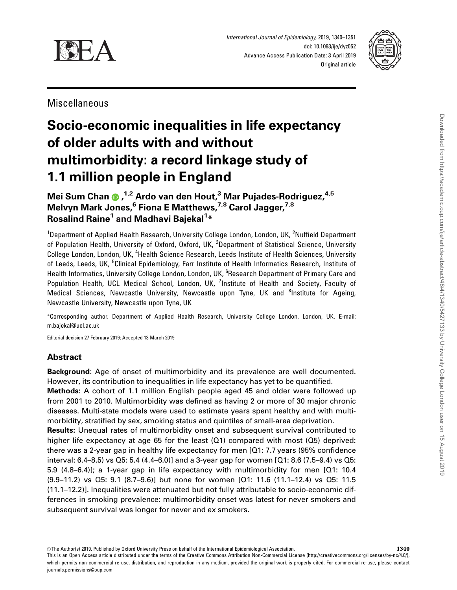

International Journal of Epidemiology, 2019, 1340–1351 doi: 10.1093/ije/dyz052 Advance Access Publication Date: 3 April 2019 Original article



Miscellaneous

# Socio-economic inequalities in life expectancy of older adults with and without multimorbidity: a record linkage study of 1.1 million people in England

# Mei Sum Chan , 1,2 Ardo van den Hout,<sup>3</sup> Mar Pujades-Rodriguez,4,5 Melvyn Mark Jones,  $6$  Fiona E Matthews,  $7,8$  Carol Jagger,  $7,8$ Rosalind Raine<sup>1</sup> and Madhavi Bajekal<sup>1</sup>\*

<sup>1</sup>Department of Applied Health Research, University College London, London, UK, <sup>2</sup>Nuffield Department of Population Health, University of Oxford, Oxford, UK, <sup>3</sup>Department of Statistical Science, University College London, London, UK, <sup>4</sup>Health Science Research, Leeds Institute of Health Sciences, University of Leeds, Leeds, UK, <sup>5</sup>Clinical Epidemiology, Farr Institute of Health Informatics Research, Institute of Health Informatics, University College London, London, UK, <sup>6</sup>Research Department of Primary Care and Population Health, UCL Medical School, London, UK, <sup>7</sup>Institute of Health and Society, Faculty of Medical Sciences, Newcastle University, Newcastle upon Tyne, UK and <sup>8</sup>Institute for Ageing, Newcastle University, Newcastle upon Tyne, UK

\*Corresponding author. Department of Applied Health Research, University College London, London, UK. E-mail: m.bajekal@ucl.ac.uk

Editorial decision 27 February 2019; Accepted 13 March 2019

# Abstract

Background: Age of onset of multimorbidity and its prevalence are well documented. However, its contribution to inequalities in life expectancy has yet to be quantified.

Methods: A cohort of 1.1 million English people aged 45 and older were followed up from 2001 to 2010. Multimorbidity was defined as having 2 or more of 30 major chronic diseases. Multi-state models were used to estimate years spent healthy and with multimorbidity, stratified by sex, smoking status and quintiles of small-area deprivation.

Results: Unequal rates of multimorbidity onset and subsequent survival contributed to higher life expectancy at age 65 for the least (Q1) compared with most (Q5) deprived: there was a 2-year gap in healthy life expectancy for men [Q1: 7.7 years (95% confidence interval: 6.4–8.5) vs Q5: 5.4 (4.4–6.0)] and a 3-year gap for women [Q1: 8.6 (7.5–9.4) vs Q5: 5.9 (4.8–6.4)]; a 1-year gap in life expectancy with multimorbidity for men [Q1: 10.4 (9.9–11.2) vs Q5: 9.1 (8.7–9.6)] but none for women [Q1: 11.6 (11.1–12.4) vs Q5: 11.5 (11.1–12.2)]. Inequalities were attenuated but not fully attributable to socio-economic differences in smoking prevalence: multimorbidity onset was latest for never smokers and subsequent survival was longer for never and ex smokers.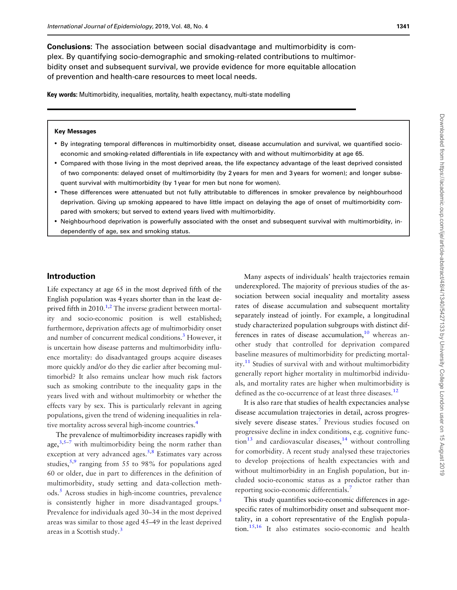<span id="page-1-0"></span>Conclusions: The association between social disadvantage and multimorbidity is complex. By quantifying socio-demographic and smoking-related contributions to multimorbidity onset and subsequent survival, we provide evidence for more equitable allocation of prevention and health-care resources to meet local needs.

Key words: Multimorbidity, inequalities, mortality, health expectancy, multi-state modelling

#### Key Messages

- By integrating temporal differences in multimorbidity onset, disease accumulation and survival, we quantified socioeconomic and smoking-related differentials in life expectancy with and without multimorbidity at age 65.
- Compared with those living in the most deprived areas, the life expectancy advantage of the least deprived consisted of two components: delayed onset of multimorbidity (by 2 years for men and 3 years for women); and longer subsequent survival with multimorbidity (by 1 year for men but none for women).
- These differences were attenuated but not fully attributable to differences in smoker prevalence by neighbourhood deprivation. Giving up smoking appeared to have little impact on delaying the age of onset of multimorbidity compared with smokers; but served to extend years lived with multimorbidity.
- Neighbourhood deprivation is powerfully associated with the onset and subsequent survival with multimorbidity, independently of age, sex and smoking status.

# Introduction

Life expectancy at age 65 in the most deprived fifth of the English population was 4 years shorter than in the least deprived fifth in  $2010$ <sup>1,2</sup> The inverse gradient between mortality and socio-economic position is well established; furthermore, deprivation affects age of multimorbidity onset and number of concurrent medical conditions.<sup>3</sup> However, it is uncertain how disease patterns and multimorbidity influence mortality: do disadvantaged groups acquire diseases more quickly and/or do they die earlier after becoming multimorbid? It also remains unclear how much risk factors such as smoking contribute to the inequality gaps in the years lived with and without multimorbity or whether the effects vary by sex. This is particularly relevant in ageing populations, given the trend of widening inequalities in relative mortality across several high-income countries.<sup>4</sup>

The prevalence of multimorbidity increases rapidly with age,  $3.5-7$  with multimorbidity being the norm rather than exception at very advanced ages.<sup>5,8</sup> Estimates vary across studies,  $5.9$  ranging from 55 to 98% for populations aged 60 or older, due in part to differences in the definition of multimorbidity, study setting and data-collection methods[.5](#page-10-0) Across studies in high-income countries, prevalence is consistently higher in more disadvantaged groups.<sup>5</sup> Prevalence for individuals aged 30–34 in the most deprived areas was similar to those aged 45–49 in the least deprived areas in a Scottish study.<sup>[3](#page-10-0)</sup>

Many aspects of individuals' health trajectories remain underexplored. The majority of previous studies of the association between social inequality and mortality assess rates of disease accumulation and subsequent mortality separately instead of jointly. For example, a longitudinal study characterized population subgroups with distinct differences in rates of disease accumulation, $10$  whereas another study that controlled for deprivation compared baseline measures of multimorbidity for predicting mortality[.11](#page-10-0) Studies of survival with and without multimorbidity generally report higher mortality in multimorbid individuals, and mortality rates are higher when multimorbidity is defined as the co-occurrence of at least three diseases.<sup>[12](#page-10-0)</sup>

It is also rare that studies of health expectancies analyse disease accumulation trajectories in detail, across progres-sively severe disease states.<sup>[7](#page-10-0)</sup> Previous studies focused on progressive decline in index conditions, e.g. cognitive func- $\[\text{tion}^{13}\]$  and cardiovascular diseases,<sup>14</sup> without controlling for comorbidity. A recent study analysed these trajectories to develop projections of health expectancies with and without multimorbidity in an English population, but included socio-economic status as a predictor rather than reporting socio-economic differentials[.7](#page-10-0)

This study quantifies socio-economic differences in agespecific rates of multimorbidity onset and subsequent mortality, in a cohort representative of the English population.[15,16](#page-10-0) It also estimates socio-economic and health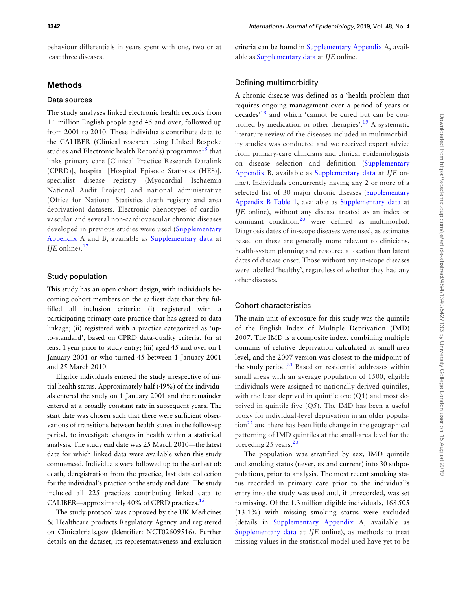<span id="page-2-0"></span>behaviour differentials in years spent with one, two or at least three diseases.

# Methods

#### Data sources

The study analyses linked electronic health records from 1.1 million English people aged 45 and over, followed up from 2001 to 2010. These individuals contribute data to the CALIBER (Clinical research using LInked Bespoke studies and Electronic health Records) programme<sup>[15](#page-10-0)</sup> that links primary care [Clinical Practice Research Datalink (CPRD)], hospital [Hospital Episode Statistics (HES)], specialist disease registry (Myocardial Ischaemia National Audit Project) and national administrative (Office for National Statistics death registry and area deprivation) datasets. Electronic phenotypes of cardiovascular and several non-cardiovascular chronic diseases developed in previous studies were used ([Supplementary](https://academic.oup.com/ije/article-lookup/doi/10.1093/ije/dyz052#supplementary-data) [Appendix](https://academic.oup.com/ije/article-lookup/doi/10.1093/ije/dyz052#supplementary-data) A and B, available as [Supplementary data](https://academic.oup.com/ije/article-lookup/doi/10.1093/ije/dyz052#supplementary-data) at IJE online). $17$ 

#### Study population

This study has an open cohort design, with individuals becoming cohort members on the earliest date that they fulfilled all inclusion criteria: (i) registered with a participating primary-care practice that has agreed to data linkage; (ii) registered with a practice categorized as 'upto-standard', based on CPRD data-quality criteria, for at least 1 year prior to study entry; (iii) aged 45 and over on 1 January 2001 or who turned 45 between 1 January 2001 and 25 March 2010.

Eligible individuals entered the study irrespective of initial health status. Approximately half (49%) of the individuals entered the study on 1 January 2001 and the remainder entered at a broadly constant rate in subsequent years. The start date was chosen such that there were sufficient observations of transitions between health states in the follow-up period, to investigate changes in health within a statistical analysis. The study end date was 25 March 2010—the latest date for which linked data were available when this study commenced. Individuals were followed up to the earliest of: death, deregistration from the practice, last data collection for the individual's practice or the study end date. The study included all 225 practices contributing linked data to CALIBER—approximately 40% of CPRD practices.<sup>[15](#page-10-0)</sup>

The study protocol was approved by the UK Medicines & Healthcare products Regulatory Agency and registered on Clinicaltrials.gov (Identifier: NCT02609516). Further details on the dataset, its representativeness and exclusion criteria can be found in [Supplementary Appendix](https://academic.oup.com/ije/article-lookup/doi/10.1093/ije/dyz052#supplementary-data) A, available as [Supplementary data](https://academic.oup.com/ije/article-lookup/doi/10.1093/ije/dyz052#supplementary-data) at IJE online.

#### Defining multimorbidity

A chronic disease was defined as a 'health problem that requires ongoing management over a period of years or decades'[18](#page-10-0) and which 'cannot be cured but can be con-trolled by medication or other therapies'.<sup>[19](#page-11-0)</sup> A systematic literature review of the diseases included in multimorbidity studies was conducted and we received expert advice from primary-care clinicians and clinical epidemiologists on disease selection and definition ([Supplementary](https://academic.oup.com/ije/article-lookup/doi/10.1093/ije/dyz052#supplementary-data) [Appendix](https://academic.oup.com/ije/article-lookup/doi/10.1093/ije/dyz052#supplementary-data) B, available as [Supplementary data](https://academic.oup.com/ije/article-lookup/doi/10.1093/ije/dyz052#supplementary-data) at IJE online). Individuals concurrently having any 2 or more of a selected list of 30 major chronic diseases [\(Supplementary](https://academic.oup.com/ije/article-lookup/doi/10.1093/ije/dyz052#supplementary-data) [Appendix B Table 1,](https://academic.oup.com/ije/article-lookup/doi/10.1093/ije/dyz052#supplementary-data) available as [Supplementary data](https://academic.oup.com/ije/article-lookup/doi/10.1093/ije/dyz052#supplementary-data) at IJE online), without any disease treated as an index or dominant condition, $2^0$  were defined as multimorbid. Diagnosis dates of in-scope diseases were used, as estimates based on these are generally more relevant to clinicians, health-system planning and resource allocation than latent dates of disease onset. Those without any in-scope diseases were labelled 'healthy', regardless of whether they had any other diseases.

## Cohort characteristics

The main unit of exposure for this study was the quintile of the English Index of Multiple Deprivation (IMD) 2007. The IMD is a composite index, combining multiple domains of relative deprivation calculated at small-area level, and the 2007 version was closest to the midpoint of the study period. $21$  Based on residential addresses within small areas with an average population of 1500, eligible individuals were assigned to nationally derived quintiles, with the least deprived in quintile one (Q1) and most deprived in quintile five (Q5). The IMD has been a useful proxy for individual-level deprivation in an older popula- $\frac{1}{2}$  and there has been little change in the geographical patterning of IMD quintiles at the small-area level for the preceding 25 years.<sup>[23](#page-11-0)</sup>

The population was stratified by sex, IMD quintile and smoking status (never, ex and current) into 30 subpopulations, prior to analysis. The most recent smoking status recorded in primary care prior to the individual's entry into the study was used and, if unrecorded, was set to missing. Of the 1.3 million eligible individuals, 168 505 (13.1%) with missing smoking status were excluded (details in [Supplementary Appendix](https://academic.oup.com/ije/article-lookup/doi/10.1093/ije/dyz052#supplementary-data) A, available as [Supplementary data](https://academic.oup.com/ije/article-lookup/doi/10.1093/ije/dyz052#supplementary-data) at IJE online), as methods to treat missing values in the statistical model used have yet to be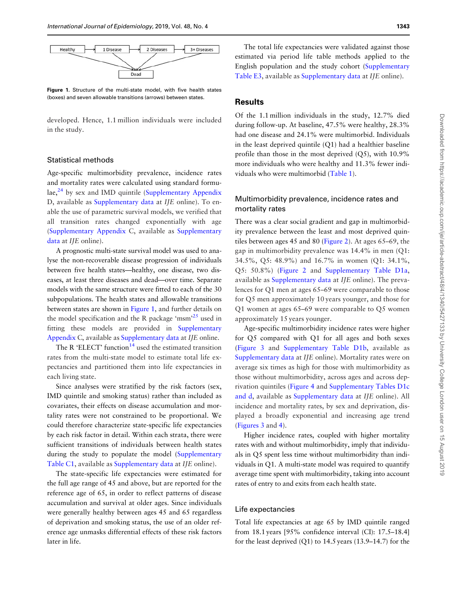<span id="page-3-0"></span>

Figure 1. Structure of the multi-state model, with five health states (boxes) and seven allowable transitions (arrows) between states.

developed. Hence, 1.1 million individuals were included in the study.

#### Statistical methods

Age-specific multimorbidity prevalence, incidence rates and mortality rates were calculated using standard formu $lae<sup>24</sup>$  by sex and IMD quintile [\(Supplementary Appendix](https://academic.oup.com/ije/article-lookup/doi/10.1093/ije/dyz052#supplementary-data) D, available as [Supplementary data](https://academic.oup.com/ije/article-lookup/doi/10.1093/ije/dyz052#supplementary-data) at IJE online). To enable the use of parametric survival models, we verified that all transition rates changed exponentially with age [\(Supplementary Appendix](https://academic.oup.com/ije/article-lookup/doi/10.1093/ije/dyz052#supplementary-data) C, available as [Supplementary](https://academic.oup.com/ije/article-lookup/doi/10.1093/ije/dyz052#supplementary-data) [data](https://academic.oup.com/ije/article-lookup/doi/10.1093/ije/dyz052#supplementary-data) at IJE online).

A prognostic multi-state survival model was used to analyse the non-recoverable disease progression of individuals between five health states—healthy, one disease, two diseases, at least three diseases and dead—over time. Separate models with the same structure were fitted to each of the 30 subpopulations. The health states and allowable transitions between states are shown in Figure 1, and further details on the model specification and the R package 'msm'<sup>25</sup> used in fitting these models are provided in [Supplementary](https://academic.oup.com/ije/article-lookup/doi/10.1093/ije/dyz052#supplementary-data) [Appendix](https://academic.oup.com/ije/article-lookup/doi/10.1093/ije/dyz052#supplementary-data) C, available as [Supplementary data](https://academic.oup.com/ije/article-lookup/doi/10.1093/ije/dyz052#supplementary-data) at IJE online.

The R 'ELECT' function $14$  used the estimated transition rates from the multi-state model to estimate total life expectancies and partitioned them into life expectancies in each living state.

Since analyses were stratified by the risk factors (sex, IMD quintile and smoking status) rather than included as covariates, their effects on disease accumulation and mortality rates were not constrained to be proportional. We could therefore characterize state-specific life expectancies by each risk factor in detail. Within each strata, there were sufficient transitions of individuals between health states during the study to populate the model ([Supplementary](https://academic.oup.com/ije/article-lookup/doi/10.1093/ije/dyz052#supplementary-data) [Table C1,](https://academic.oup.com/ije/article-lookup/doi/10.1093/ije/dyz052#supplementary-data) available as [Supplementary data](https://academic.oup.com/ije/article-lookup/doi/10.1093/ije/dyz052#supplementary-data) at IJE online).

The state-specific life expectancies were estimated for the full age range of 45 and above, but are reported for the reference age of 65, in order to reflect patterns of disease accumulation and survival at older ages. Since individuals were generally healthy between ages 45 and 65 regardless of deprivation and smoking status, the use of an older reference age unmasks differential effects of these risk factors later in life.

The total life expectancies were validated against those estimated via period life table methods applied to the English population and the study cohort ([Supplementary](https://academic.oup.com/ije/article-lookup/doi/10.1093/ije/dyz052#supplementary-data) [Table E3,](https://academic.oup.com/ije/article-lookup/doi/10.1093/ije/dyz052#supplementary-data) available as [Supplementary data](https://academic.oup.com/ije/article-lookup/doi/10.1093/ije/dyz052#supplementary-data) at IJE online).

# **Results**

Of the 1.1 million individuals in the study, 12.7% died during follow-up. At baseline, 47.5% were healthy, 28.3% had one disease and 24.1% were multimorbid. Individuals in the least deprived quintile (Q1) had a healthier baseline profile than those in the most deprived (Q5), with 10.9% more individuals who were healthy and 11.3% fewer individuals who were multimorbid [\(Table 1](#page-4-0)).

# Multimorbidity prevalence, incidence rates and mortality rates

There was a clear social gradient and gap in multimorbidity prevalence between the least and most deprived quintiles between ages 45 and 80 [\(Figure 2\)](#page-5-0). At ages 65–69, the gap in multimorbidity prevalence was 14.4% in men (Q1: 34.5%, Q5: 48.9%) and 16.7% in women (Q1: 34.1%, Q5: 50.8%) ([Figure 2](#page-5-0) and [Supplementary Table D1a,](https://academic.oup.com/ije/article-lookup/doi/10.1093/ije/dyz052#supplementary-data) available as [Supplementary data](https://academic.oup.com/ije/article-lookup/doi/10.1093/ije/dyz052#supplementary-data) at IJE online). The prevalences for Q1 men at ages 65–69 were comparable to those for Q5 men approximately 10 years younger, and those for Q1 women at ages 65–69 were comparable to Q5 women approximately 15 years younger.

Age-specific multimorbidity incidence rates were higher for Q5 compared with Q1 for all ages and both sexes [\(Figure 3](#page-5-0) and [Supplementary Table D1b](https://academic.oup.com/ije/article-lookup/doi/10.1093/ije/dyz052#supplementary-data), available as [Supplementary data](https://academic.oup.com/ije/article-lookup/doi/10.1093/ije/dyz052#supplementary-data) at IJE online). Mortality rates were on average six times as high for those with multimorbidity as those without multimorbidity, across ages and across deprivation quintiles ([Figure 4](#page-5-0) and [Supplementary Tables D1c](https://academic.oup.com/ije/article-lookup/doi/10.1093/ije/dyz052#supplementary-data) [and d](https://academic.oup.com/ije/article-lookup/doi/10.1093/ije/dyz052#supplementary-data), available as [Supplementary data](https://academic.oup.com/ije/article-lookup/doi/10.1093/ije/dyz052#supplementary-data) at IJE online). All incidence and mortality rates, by sex and deprivation, displayed a broadly exponential and increasing age trend [\(Figures 3](#page-5-0) and [4\)](#page-5-0).

Higher incidence rates, coupled with higher mortality rates with and without multimorbidity, imply that individuals in Q5 spent less time without multimorbidity than individuals in Q1. A multi-state model was required to quantify average time spent with multimorbidity, taking into account rates of entry to and exits from each health state.

#### Life expectancies

Total life expectancies at age 65 by IMD quintile ranged from 18.1 years [95% confidence interval (CI): 17.5–18.4] for the least deprived  $(Q1)$  to 14.5 years  $(13.9-14.7)$  for the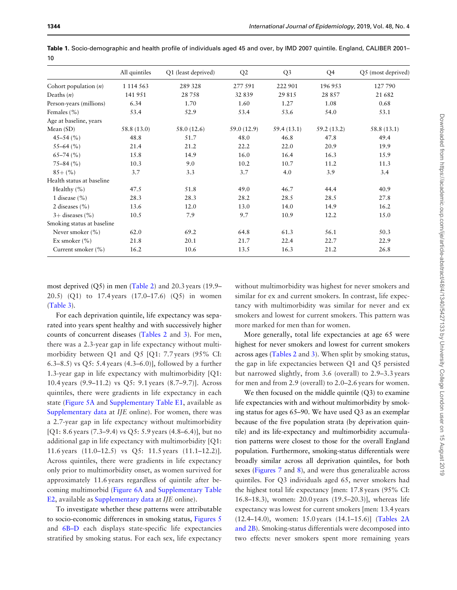|                            | All quintiles | Q1 (least deprived) | Q2          | Q <sub>3</sub> | Q4          | Q5 (most deprived) |
|----------------------------|---------------|---------------------|-------------|----------------|-------------|--------------------|
| Cohort population $(n)$    | 1 1 1 4 5 6 3 | 289 328             | 277 591     | 222 901        | 196953      | 127790             |
| Deaths $(n)$               | 141 951       | 28758               | 32 839      | 29 8 15        | 28 8 5 7    | 21 682             |
| Person-years (millions)    | 6.34          | 1.70                | 1.60        | 1.27           | 1.08        | 0.68               |
| Females $(\% )$            | 53.4          | 52.9                | 53.4        | 53.6           | 54.0        | 53.1               |
| Age at baseline, years     |               |                     |             |                |             |                    |
| Mean $(SD)$                | 58.8 (13.0)   | 58.0 (12.6)         | 59.0 (12.9) | 59.4 (13.1)    | 59.2 (13.2) | 58.8 (13.1)        |
| $45 - 54$ (%)              | 48.8          | 51.7                | 48.0        | 46.8           | 47.8        | 49.4               |
| $55-64(%)$                 | 21.4          | 21.2                | 22.2        | 22.0           | 20.9        | 19.9               |
| $65-74$ (%)                | 15.8          | 14.9                | 16.0        | 16.4           | 16.3        | 15.9               |
| $75 - 84$ (%)              | 10.3          | 9.0                 | 10.2        | 10.7           | 11.2        | 11.3               |
| $85+$ (%)                  | 3.7           | 3.3                 | 3.7         | 4.0            | 3.9         | 3.4                |
| Health status at baseline  |               |                     |             |                |             |                    |
| Healthy $(\% )$            | 47.5          | 51.8                | 49.0        | 46.7           | 44.4        | 40.9               |
| 1 disease $(\% )$          | 28.3          | 28.3                | 28.2        | 28.5           | 28.5        | 27.8               |
| 2 diseases $(\% )$         | 13.6          | 12.0                | 13.0        | 14.0           | 14.9        | 16.2               |
| $3+$ diseases $(\% )$      | 10.5          | 7.9                 | 9.7         | 10.9           | 12.2        | 15.0               |
| Smoking status at baseline |               |                     |             |                |             |                    |
| Never smoker $(\% )$       | 62.0          | 69.2                | 64.8        | 61.3           | 56.1        | 50.3               |
| Ex smoker $(\% )$          | 21.8          | 20.1                | 21.7        | 22.4           | 22.7        | 22.9               |
| Current smoker (%)         | 16.2          | 10.6                | 13.5        | 16.3           | 21.2        | 26.8               |

<span id="page-4-0"></span>Table 1. Socio-demographic and health profile of individuals aged 45 and over, by IMD 2007 quintile. England, CALIBER 2001– 10

most deprived (Q5) in men [\(Table 2](#page-6-0)) and 20.3 years (19.9– 20.5) (Q1) to 17.4 years (17.0–17.6) (Q5) in women [\(Table 3\)](#page-7-0).

For each deprivation quintile, life expectancy was separated into years spent healthy and with successively higher counts of concurrent diseases [\(Tables 2](#page-6-0) and [3\)](#page-7-0). For men, there was a 2.3-year gap in life expectancy without multimorbidity between Q1 and Q5 [Q1: 7.7 years (95% CI: 6.3–8.5) vs Q5: 5.4 years (4.3–6.0)], followed by a further 1.3-year gap in life expectancy with multimorbidity [Q1: 10.4 years (9.9–11.2) vs Q5: 9.1 years (8.7–9.7)]. Across quintiles, there were gradients in life expectancy in each state [\(Figure 5A](#page-8-0) and [Supplementary Table E1](https://academic.oup.com/ije/article-lookup/doi/10.1093/ije/dyz052#supplementary-data), available as [Supplementary data](https://academic.oup.com/ije/article-lookup/doi/10.1093/ije/dyz052#supplementary-data) at IJE online). For women, there was a 2.7-year gap in life expectancy without multimorbidity [Q1: 8.6 years (7.3–9.4) vs Q5: 5.9 years (4.8–6.4)], but no additional gap in life expectancy with multimorbidity [Q1: 11.6 years (11.0–12.5) vs Q5: 11.5 years (11.1–12.2)]. Across quintiles, there were gradients in life expectancy only prior to multimorbidity onset, as women survived for approximately 11.6 years regardless of quintile after becoming multimorbid ([Figure 6A](#page-9-0) and [Supplementary Table](https://academic.oup.com/ije/article-lookup/doi/10.1093/ije/dyz052#supplementary-data) [E2,](https://academic.oup.com/ije/article-lookup/doi/10.1093/ije/dyz052#supplementary-data) available as [Supplementary data](https://academic.oup.com/ije/article-lookup/doi/10.1093/ije/dyz052#supplementary-data) at IJE online).

To investigate whether these patterns were attributable to socio-economic differences in smoking status, [Figures 5](#page-8-0) and [6B–D](#page-9-0) each displays state-specific life expectancies stratified by smoking status. For each sex, life expectancy

without multimorbidity was highest for never smokers and similar for ex and current smokers. In contrast, life expectancy with multimorbidity was similar for never and ex smokers and lowest for current smokers. This pattern was more marked for men than for women.

More generally, total life expectancies at age 65 were highest for never smokers and lowest for current smokers across ages [\(Tables 2](#page-6-0) and [3](#page-7-0)). When split by smoking status, the gap in life expectancies between Q1 and Q5 persisted but narrowed slightly, from 3.6 (overall) to 2.9–3.3 years for men and from 2.9 (overall) to 2.0–2.6 years for women.

We then focused on the middle quintile (Q3) to examine life expectancies with and without multimorbidity by smoking status for ages 65–90. We have used Q3 as an exemplar because of the five population strata (by deprivation quintile) and its life-expectancy and multimorbidity accumulation patterns were closest to those for the overall England population. Furthermore, smoking-status differentials were broadly similar across all deprivation quintiles, for both sexes [\(Figures 7](#page-9-0) and [8](#page-10-0)), and were thus generalizable across quintiles. For Q3 individuals aged 65, never smokers had the highest total life expectancy [men: 17.8 years (95% CI: 16.8–18.3), women: 20.0 years (19.5–20.3)], whereas life expectancy was lowest for current smokers [men: 13.4 years (12.4–14.0), women: 15.0 years (14.1–15.6)] ([Tables 2A](#page-6-0) [and 2B\)](#page-6-0). Smoking-status differentials were decomposed into two effects: never smokers spent more remaining years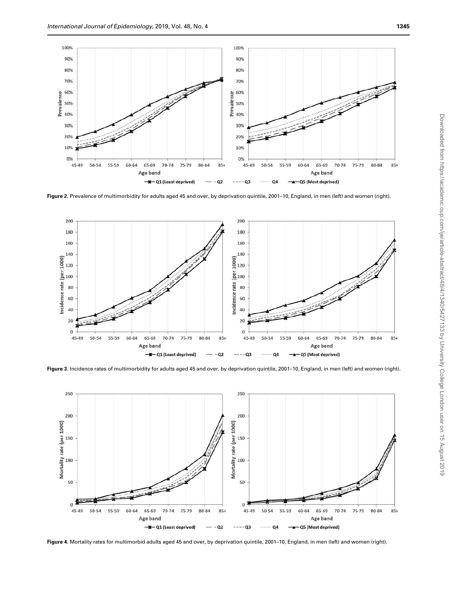<span id="page-5-0"></span>

Figure 2. Prevalence of multimorbidity for adults aged 45 and over, by deprivation quintile, 2001-10, England, in men (left) and women (right).



Figure 3. Incidence rates of multimorbidity for adults aged 45 and over, by deprivation quintile, 2001–10, England, in men (left) and women (right).



Figure 4. Mortality rates for multimorbid adults aged 45 and over, by deprivation quintile, 2001–10, England, in men (left) and women (right).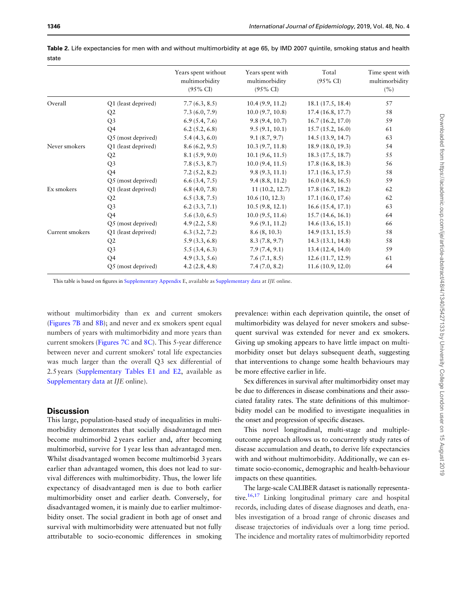|                 |                     | Years spent without<br>multimorbidity<br>$(95\% \text{ CI})$ | Years spent with<br>multimorbidity<br>$(95\% \text{ CI})$ | Total<br>$(95\% \text{ CI})$ | Time spent with<br>multimorbidity<br>(%) |
|-----------------|---------------------|--------------------------------------------------------------|-----------------------------------------------------------|------------------------------|------------------------------------------|
| Overall         | Q1 (least deprived) | 7.7(6.3, 8.5)                                                | 10.4(9.9, 11.2)                                           | 18.1 (17.5, 18.4)            | 57                                       |
|                 | Q2                  | 7.3(6.0, 7.9)                                                | 10.0(9.7, 10.8)                                           | 17.4(16.8, 17.7)             | 58                                       |
|                 | Q <sub>3</sub>      | 6.9(5.4, 7.6)                                                | 9.8(9.4, 10.7)                                            | 16.7(16.2, 17.0)             | 59                                       |
|                 | Q4                  | 6.2(5.2, 6.8)                                                | 9.5(9.1, 10.1)                                            | 15.7(15.2, 16.0)             | 61                                       |
|                 | Q5 (most deprived)  | 5.4(4.3, 6.0)                                                | 9.1(8.7, 9.7)                                             | 14.5 (13.9, 14.7)            | 63                                       |
| Never smokers   | Q1 (least deprived) | 8.6(6.2, 9.5)                                                | 10.3(9.7, 11.8)                                           | 18.9(18.0, 19.3)             | 54                                       |
|                 | Q2                  | 8.1(5.9, 9.0)                                                | 10.1 (9.6, 11.5)                                          | 18.3 (17.5, 18.7)            | 55                                       |
|                 | Q <sub>3</sub>      | 7.8(5.3, 8.7)                                                | 10.0(9.4, 11.5)                                           | 17.8(16.8, 18.3)             | 56                                       |
|                 | Q4                  | 7.2(5.2, 8.2)                                                | 9.8(9.3, 11.1)                                            | 17.1(16.3, 17.5)             | 58                                       |
|                 | Q5 (most deprived)  | 6.6(3.4, 7.5)                                                | 9.4(8.8, 11.2)                                            | 16.0(14.8, 16.5)             | 59                                       |
| Ex smokers      | Q1 (least deprived) | 6.8(4.0, 7.8)                                                | 11(10.2, 12.7)                                            | 17.8(16.7, 18.2)             | 62                                       |
|                 | Q2                  | 6.5(3.8, 7.5)                                                | 10.6(10, 12.3)                                            | 17.1(16.0, 17.6)             | 62                                       |
|                 | Q <sub>3</sub>      | 6.2(3.3, 7.1)                                                | 10.5(9.8, 12.1)                                           | 16.6(15.4, 17.1)             | 63                                       |
|                 | Q4                  | 5.6(3.0, 6.5)                                                | 10.0(9.5, 11.6)                                           | 15.7(14.6, 16.1)             | 64                                       |
|                 | Q5 (most deprived)  | 4.9(2.2, 5.8)                                                | 9.6(9.1, 11.2)                                            | 14.6(13.6, 15.1)             | 66                                       |
| Current smokers | Q1 (least deprived) | 6.3(3.2, 7.2)                                                | 8.6(8, 10.3)                                              | 14.9(13.1, 15.5)             | 58                                       |
|                 | Q2                  | 5.9(3.3, 6.8)                                                | 8.3(7.8, 9.7)                                             | 14.3 (13.1, 14.8)            | 58                                       |
|                 | Q <sub>3</sub>      | 5.5(3.4, 6.3)                                                | 7.9(7.4, 9.1)                                             | 13.4 (12.4, 14.0)            | 59                                       |
|                 | Q4                  | 4.9(3.3, 5.6)                                                | 7.6(7.1, 8.5)                                             | 12.6 (11.7, 12.9)            | 61                                       |
|                 | Q5 (most deprived)  | 4.2(2.8, 4.8)                                                | 7.4(7.0, 8.2)                                             | 11.6(10.9, 12.0)             | 64                                       |

<span id="page-6-0"></span>Table 2. Life expectancies for men with and without multimorbidity at age 65, by IMD 2007 quintile, smoking status and health state

This table is based on figures in [Supplementary Appendix](https://academic.oup.com/ije/article-lookup/doi/10.1093/ije/dyz052#supplementary-data) E, available as [Supplementary data](https://academic.oup.com/ije/article-lookup/doi/10.1093/ije/dyz052#supplementary-data) at IJE online.

without multimorbidity than ex and current smokers [\(Figures 7B](#page-9-0) and [8B\)](#page-10-0); and never and ex smokers spent equal numbers of years with multimorbidity and more years than current smokers [\(Figures 7C](#page-9-0) and [8C](#page-10-0)). This 5-year difference between never and current smokers' total life expectancies was much larger than the overall Q3 sex differential of 2.5 years ([Supplementary Tables E1 and E2,](https://academic.oup.com/ije/article-lookup/doi/10.1093/ije/dyz052#supplementary-data) available as [Supplementary data](https://academic.oup.com/ije/article-lookup/doi/10.1093/ije/dyz052#supplementary-data) at IJE online).

# **Discussion**

This large, population-based study of inequalities in multimorbidity demonstrates that socially disadvantaged men become multimorbid 2 years earlier and, after becoming multimorbid, survive for 1 year less than advantaged men. Whilst disadvantaged women become multimorbid 3 years earlier than advantaged women, this does not lead to survival differences with multimorbidity. Thus, the lower life expectancy of disadvantaged men is due to both earlier multimorbidity onset and earlier death. Conversely, for disadvantaged women, it is mainly due to earlier multimorbidity onset. The social gradient in both age of onset and survival with multimorbidity were attenuated but not fully attributable to socio-economic differences in smoking

prevalence: within each deprivation quintile, the onset of multimorbidity was delayed for never smokers and subsequent survival was extended for never and ex smokers. Giving up smoking appears to have little impact on multimorbidity onset but delays subsequent death, suggesting that interventions to change some health behaviours may be more effective earlier in life.

Sex differences in survival after multimorbidity onset may be due to differences in disease combinations and their associated fatality rates. The state definitions of this multimorbidity model can be modified to investigate inequalities in the onset and progression of specific diseases.

This novel longitudinal, multi-stage and multipleoutcome approach allows us to concurrently study rates of disease accumulation and death, to derive life expectancies with and without multimorbidity. Additionally, we can estimate socio-economic, demographic and health-behaviour impacts on these quantities.

The large-scale CALIBER dataset is nationally representative.<sup>16,17</sup> Linking longitudinal primary care and hospital records, including dates of disease diagnoses and death, enables investigation of a broad range of chronic diseases and disease trajectories of individuals over a long time period. The incidence and mortality rates of multimorbidity reported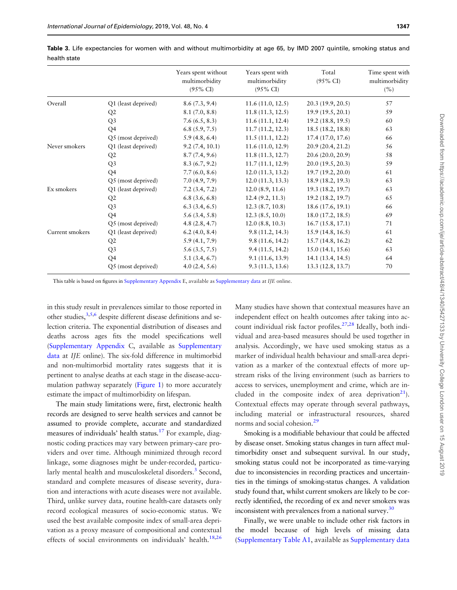|                 |                     | Years spent without<br>multimorbidity<br>$(95\% \text{ CI})$ | Years spent with<br>multimorbidity<br>$(95\% \text{ CI})$ | Total<br>$(95\% \text{ CI})$ | Time spent with<br>multimorbidity<br>(% ) |
|-----------------|---------------------|--------------------------------------------------------------|-----------------------------------------------------------|------------------------------|-------------------------------------------|
| Overall         | Q1 (least deprived) | 8.6(7.3, 9.4)                                                | 11.6(11.0, 12.5)                                          | 20.3 (19.9, 20.5)            | 57                                        |
|                 | Q <sub>2</sub>      | 8.1(7.0, 8.8)                                                | 11.8(11.3, 12.5)                                          | 19.9(19.5, 20.1)             | 59                                        |
|                 | Q <sub>3</sub>      | 7.6(6.5, 8.3)                                                | 11.6(11.1, 12.4)                                          | 19.2(18.8, 19.5)             | 60                                        |
|                 | Q4                  | 6.8(5.9, 7.5)                                                | 11.7(11.2, 12.3)                                          | 18.5(18.2, 18.8)             | 63                                        |
|                 | Q5 (most deprived)  | 5.9(4.8, 6.4)                                                | 11.5(11.1, 12.2)                                          | 17.4(17.0, 17.6)             | 66                                        |
| Never smokers   | Q1 (least deprived) | 9.2(7.4, 10.1)                                               | 11.6(11.0, 12.9)                                          | 20.9 (20.4, 21.2)            | 56                                        |
|                 | Q2                  | 8.7(7.4, 9.6)                                                | 11.8(11.3, 12.7)                                          | 20.6(20.0, 20.9)             | 58                                        |
|                 | Q <sub>3</sub>      | 8.3(6.7, 9.2)                                                | 11.7(11.1, 12.9)                                          | 20.0(19.5, 20.3)             | 59                                        |
|                 | Q <sub>4</sub>      | 7.7(6.0, 8.6)                                                | 12.0(11.3, 13.2)                                          | 19.7 (19.2, 20.0)            | 61                                        |
|                 | Q5 (most deprived)  | 7.0(4.9, 7.9)                                                | 12.0(11.3, 13.3)                                          | 18.9 (18.2, 19.3)            | 63                                        |
| Ex smokers      | Q1 (least deprived) | 7.2(3.4, 7.2)                                                | 12.0(8.9, 11.6)                                           | 19.3 (18.2, 19.7)            | 63                                        |
|                 | Q2                  | 6.8(3.6, 6.8)                                                | 12.4(9.2, 11.3)                                           | 19.2 (18.2, 19.7)            | 65                                        |
|                 | Q <sub>3</sub>      | 6.3(3.4, 6.5)                                                | 12.3(8.7, 10.8)                                           | 18.6(17.6, 19.1)             | 66                                        |
|                 | Q4                  | 5.6(3.4, 5.8)                                                | 12.3(8.5, 10.0)                                           | 18.0(17.2, 18.5)             | 69                                        |
|                 | Q5 (most deprived)  | 4.8(2.8, 4.7)                                                | 12.0(8.8, 10.3)                                           | 16.7(15.8, 17.1)             | 71                                        |
| Current smokers | Q1 (least deprived) | 6.2(4.0, 8.4)                                                | 9.8(11.2, 14.3)                                           | 15.9(14.8, 16.5)             | 61                                        |
|                 | Q <sub>2</sub>      | 5.9(4.1, 7.9)                                                | 9.8(11.6, 14.2)                                           | 15.7(14.8, 16.2)             | 62                                        |
|                 | Q <sub>3</sub>      | 5.6(3.5, 7.5)                                                | 9.4(11.5, 14.2)                                           | 15.0(14.1, 15.6)             | 63                                        |
|                 | Q4                  | 5.1(3.4, 6.7)                                                | 9.1(11.6, 13.9)                                           | 14.1 (13.4, 14.5)            | 64                                        |
|                 | Q5 (most deprived)  | 4.0(2.4, 5.6)                                                | 9.3(11.3, 13.6)                                           | 13.3 (12.8, 13.7)            | 70                                        |

<span id="page-7-0"></span>Table 3. Life expectancies for women with and without multimorbidity at age 65, by IMD 2007 quintile, smoking status and health state

This table is based on figures in [Supplementary Appendix](https://academic.oup.com/ije/article-lookup/doi/10.1093/ije/dyz052#supplementary-data) E, available as [Supplementary data](https://academic.oup.com/ije/article-lookup/doi/10.1093/ije/dyz052#supplementary-data) at IJE online.

in this study result in prevalences similar to those reported in other studies,  $3,5,6$  despite different disease definitions and selection criteria. The exponential distribution of diseases and deaths across ages fits the model specifications well [\(Supplementary Appendix](https://academic.oup.com/ije/article-lookup/doi/10.1093/ije/dyz052#supplementary-data) C, available as [Supplementary](https://academic.oup.com/ije/article-lookup/doi/10.1093/ije/dyz052#supplementary-data) [data](https://academic.oup.com/ije/article-lookup/doi/10.1093/ije/dyz052#supplementary-data) at IJE online). The six-fold difference in multimorbid and non-multimorbid mortality rates suggests that it is pertinent to analyse deaths at each stage in the disease-accumulation pathway separately ([Figure 1](#page-3-0)) to more accurately estimate the impact of multimorbidity on lifespan.

The main study limitations were, first, electronic health records are designed to serve health services and cannot be assumed to provide complete, accurate and standardized measures of individuals' health status.<sup>[17](#page-10-0)</sup> For example, diagnostic coding practices may vary between primary-care providers and over time. Although minimized through record linkage, some diagnoses might be under-recorded, particularly mental health and musculoskeletal disorders.<sup>3</sup> Second, standard and complete measures of disease severity, duration and interactions with acute diseases were not available. Third, unlike survey data, routine health-care datasets only record ecological measures of socio-economic status. We used the best available composite index of small-area deprivation as a proxy measure of compositional and contextual effects of social environments on individuals' health.<sup>18,[26](#page-11-0)</sup> Many studies have shown that contextual measures have an independent effect on health outcomes after taking into account individual risk factor profiles.<sup>27,28</sup> Ideally, both individual and area-based measures should be used together in analysis. Accordingly, we have used smoking status as a marker of individual health behaviour and small-area deprivation as a marker of the contextual effects of more upstream risks of the living environment (such as barriers to access to services, unemployment and crime, which are included in the composite index of area deprivation<sup>21</sup>). Contextual effects may operate through several pathways, including material or infrastructural resources, shared norms and social cohesion.<sup>[29](#page-11-0)</sup>

Smoking is a modifiable behaviour that could be affected by disease onset. Smoking status changes in turn affect multimorbidity onset and subsequent survival. In our study, smoking status could not be incorporated as time-varying due to inconsistencies in recording practices and uncertainties in the timings of smoking-status changes. A validation study found that, whilst current smokers are likely to be correctly identified, the recording of ex and never smokers was inconsistent with prevalences from a national survey.<sup>[30](#page-11-0)</sup>

Finally, we were unable to include other risk factors in the model because of high levels of missing data [\(Supplementary Table A1,](https://academic.oup.com/ije/article-lookup/doi/10.1093/ije/dyz052#supplementary-data) available as [Supplementary data](https://academic.oup.com/ije/article-lookup/doi/10.1093/ije/dyz052#supplementary-data)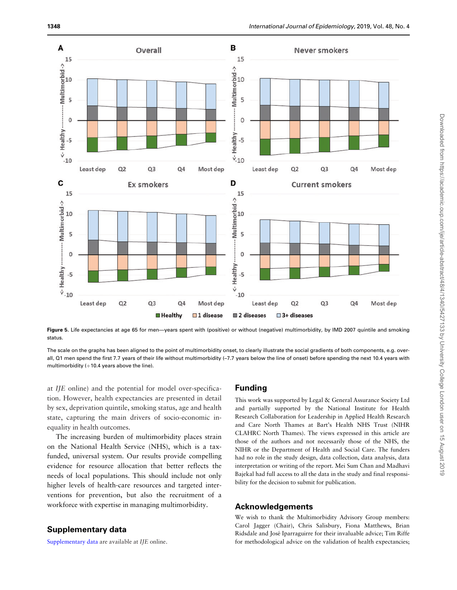<span id="page-8-0"></span>

Figure 5. Life expectancies at age 65 for men-years spent with (positive) or without (negative) multimorbidity, by IMD 2007 quintile and smoking status.

The scale on the graphs has been aligned to the point of multimorbidity onset, to clearly illustrate the social gradients of both components, e.g. overall, Q1 men spend the first 7.7 years of their life without multimorbidity (–7.7 years below the line of onset) before spending the next 10.4 years with multimorbidity  $(+10.4$  years above the line).

at IJE online) and the potential for model over-specification. However, health expectancies are presented in detail by sex, deprivation quintile, smoking status, age and health state, capturing the main drivers of socio-economic inequality in health outcomes.

The increasing burden of multimorbidity places strain on the National Health Service (NHS), which is a taxfunded, universal system. Our results provide compelling evidence for resource allocation that better reflects the needs of local populations. This should include not only higher levels of health-care resources and targeted interventions for prevention, but also the recruitment of a workforce with expertise in managing multimorbidity.

# Supplementary data

[Supplementary data](https://academic.oup.com/ije/article-lookup/doi/10.1093/ije/dyz052#supplementary-data) are available at IJE online.

#### Funding

This work was supported by Legal & General Assurance Society Ltd and partially supported by the National Institute for Health Research Collaboration for Leadership in Applied Health Research and Care North Thames at Bart's Health NHS Trust (NIHR CLAHRC North Thames). The views expressed in this article are those of the authors and not necessarily those of the NHS, the NIHR or the Department of Health and Social Care. The funders had no role in the study design, data collection, data analysis, data interpretation or writing of the report. Mei Sum Chan and Madhavi Bajekal had full access to all the data in the study and final responsibility for the decision to submit for publication.

#### Acknowledgements

We wish to thank the Multimorbidity Advisory Group members: Carol Jagger (Chair), Chris Salisbury, Fiona Matthews, Brian Ridsdale and Jose´ Iparraguirre for their invaluable advice; Tim Riffe for methodological advice on the validation of health expectancies;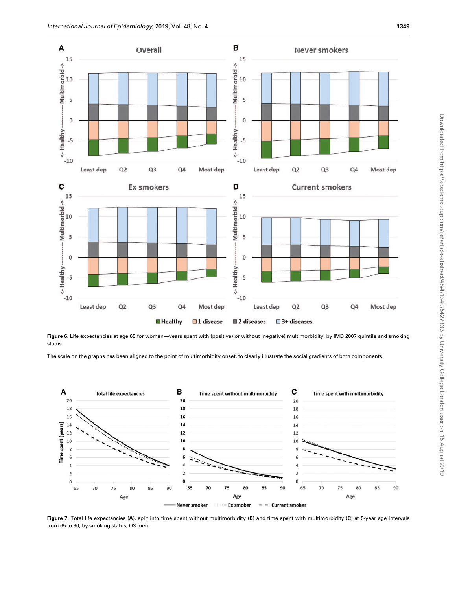<span id="page-9-0"></span>

Figure 6. Life expectancies at age 65 for women-years spent with (positive) or without (negative) multimorbidity, by IMD 2007 quintile and smoking status.

The scale on the graphs has been aligned to the point of multimorbidity onset, to clearly illustrate the social gradients of both components.



Figure 7. Total life expectancies (A), split into time spent without multimorbidity (B) and time spent with multimorbidity (C) at 5-year age intervals from 65 to 90, by smoking status, Q3 men.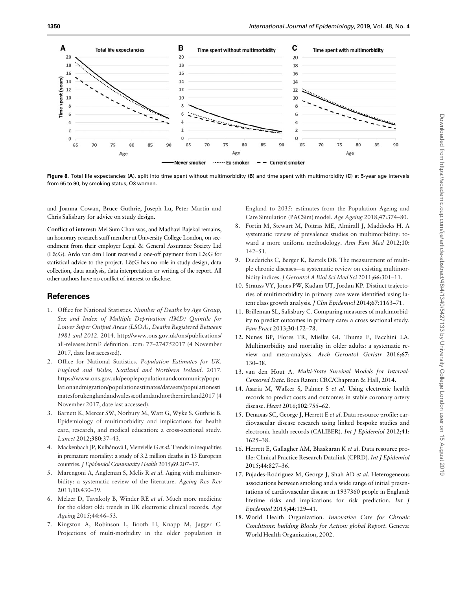<span id="page-10-0"></span>

Figure 8. Total life expectancies (A), split into time spent without multimorbidity (B) and time spent with multimorbidity (C) at 5-year age intervals from 65 to 90, by smoking status, Q3 women.

and Joanna Cowan, Bruce Guthrie, Joseph Lu, Peter Martin and Chris Salisbury for advice on study design.

Conflict of interest: Mei Sum Chan was, and Madhavi Bajekal remains, an honorary research staff member at University College London, on secondment from their employer Legal & General Assurance Society Ltd (L&G). Ardo van den Hout received a one-off payment from L&G for statistical advice to the project. L&G has no role in study design, data collection, data analysis, data interpretation or writing of the report. All other authors have no conflict of interest to disclose.

## **References**

- [1.](#page-1-0) Office for National Statistics. Number of Deaths by Age Group, Sex and Index of Multiple Deprivation (IMD) Quintile for Lower Super Output Areas (LSOA), Deaths Registered Between 1981 and 2012. 2014. [http://www.ons.gov.uk/ons/publications/](http://www.ons.gov.uk/ons/publications/all-releases.html? definition=tcm: 77&hx0026;ndash;274752017) [all-releases.html? definition](http://www.ons.gov.uk/ons/publications/all-releases.html? definition=tcm: 77&hx0026;ndash;274752017)=tcm: 77-274752017 (4 November 2017, date last accessed).
- [2.](#page-1-0) Office for National Statistics. Population Estimates for UK, England and Wales, Scotland and Northern Ireland. 2017. [https://www.ons.gov.uk/peoplepopulationandcommunity/popu](https://www.ons.gov.uk/peoplepopulationandcommunity/populationandmigration/populationestimates/datasets/populationestimatesforukenglandandwalesscotlandandnorthernireland2017) [lationandmigration/populationestimates/datasets/populationesti](https://www.ons.gov.uk/peoplepopulationandcommunity/populationandmigration/populationestimates/datasets/populationestimatesforukenglandandwalesscotlandandnorthernireland2017) [matesforukenglandandwalesscotlandandnorthernireland2017](https://www.ons.gov.uk/peoplepopulationandcommunity/populationandmigration/populationestimates/datasets/populationestimatesforukenglandandwalesscotlandandnorthernireland2017) (4 November 2017, date last accessed).
- [3.](#page-1-0) Barnett K, Mercer SW, Norbury M, Watt G, Wyke S, Guthrie B. Epidemiology of multimorbidity and implications for health care, research, and medical education: a cross-sectional study. Lancet 2012;380:37–43.
- [4.](#page-1-0) Mackenbach JP, Kulhánová I, Menvielle G et al. Trends in inequalities in premature mortality: a study of 3.2 million deaths in 13 European countries. J Epidemiol Community Health 2015;69:207-17.
- [5.](#page-1-0) Marengoni A, Angleman S, Melis R et al. Aging with multimorbidity: a systematic review of the literature. Ageing Res Rev 2011;10:430–39.
- [6.](#page-7-0) Melzer D, Tavakoly B, Winder RE et al. Much more medicine for the oldest old: trends in UK electronic clinical records. Age Ageing 2015;44:46–53.
- [7.](#page-1-0) Kingston A, Robinson L, Booth H, Knapp M, Jagger C. Projections of multi-morbidity in the older population in

England to 2035: estimates from the Population Ageing and Care Simulation (PACSim) model. Age Ageing 2018;47:374–80.

- [8.](#page-1-0) Fortin M, Stewart M, Poitras ME, Almirall J, Maddocks H. A systematic review of prevalence studies on multimorbidity: toward a more uniform methodology. Ann Fam Med 2012;10: 142–51.
- [9.](#page-1-0) Diederichs C, Berger K, Bartels DB. The measurement of multiple chronic diseases—a systematic review on existing multimorbidity indices. J Gerontol A Biol Sci Med Sci 2011;66:301-11.
- [10.](#page-1-0) Strauss VY, Jones PW, Kadam UT, Jordan KP. Distinct trajectories of multimorbidity in primary care were identified using latent class growth analysis. J Clin Epidemiol 2014;67:1163–71.
- [11.](#page-1-0) Brilleman SL, Salisbury C. Comparing measures of multimorbidity to predict outcomes in primary care: a cross sectional study. Fam Pract 2013;30:172–78.
- [12.](#page-1-0) Nunes BP, Flores TR, Mielke GI, Thume E, Facchini LA. Multimorbidity and mortality in older adults: a systematic review and meta-analysis. Arch Gerontol Geriatr 2016;67: 130–38.
- [13.](#page-1-0) van den Hout A. Multi-State Survival Models for Interval-Censored Data. Boca Raton: CRC/Chapman & Hall, 2014.
- [14.](#page-1-0) Asaria M, Walker S, Palmer S et al. Using electronic health records to predict costs and outcomes in stable coronary artery disease. Heart 2016;102:755–62.
- [15.](#page-1-0) Denaxas SC, George J, Herrett E et al. Data resource profile: cardiovascular disease research using linked bespoke studies and electronic health records (CALIBER). Int J Epidemiol 2012;41: 1625–38.
- [16.](#page-1-0) Herrett E, Gallagher AM, Bhaskaran K et al. Data resource profile: Clinical Practice Research Datalink (CPRD). Int J Epidemiol 2015;44:827–36.
- [17.](#page-2-0) Pujades-Rodriguez M, George J, Shah AD et al. Heterogeneous associations between smoking and a wide range of initial presentations of cardiovascular disease in 1937360 people in England: lifetime risks and implications for risk prediction. Int J Epidemiol 2015;44:129–41.
- [18.](#page-2-0) World Health Organization. Innovative Care for Chronic Conditions: building Blocks for Action: global Report. Geneva: World Health Organization, 2002.